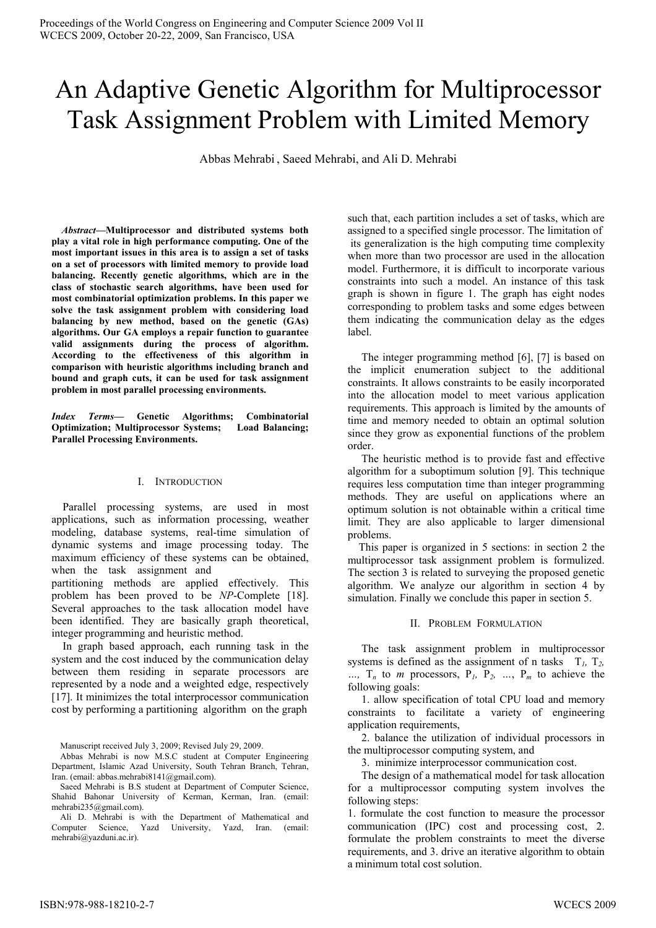# An Adaptive Genetic Algorithm for Multiprocessor Task Assignment Problem with Limited Memory

Abbas Mehrabi, Saeed Mehrabi, and Ali D. Mehrabi

Abstract-Multiprocessor and distributed systems both play a vital role in high performance computing. One of the most important issues in this area is to assign a set of tasks on a set of processors with limited memory to provide load balancing. Recently genetic algorithms, which are in the class of stochastic search algorithms, have been used for most combinatorial optimization problems. In this paper we solve the task assignment problem with considering load balancing by new method, based on the genetic (GAs) algorithms. Our GA employs a repair function to guarantee valid assignments during the process of algorithm. According to the effectiveness of this algorithm in comparison with heuristic algorithms including branch and bound and graph cuts, it can be used for task assignment problem in most parallel processing environments.

Index Terms- Genetic Algorithms; Combinatorial **Optimization**; Multiprocessor Systems; **Load Balancing; Parallel Processing Environments.** 

### I. INTRODUCTION

Parallel processing systems, are used in most applications, such as information processing, weather modeling, database systems, real-time simulation of dynamic systems and image processing today. The maximum efficiency of these systems can be obtained, when the task assignment and

partitioning methods are applied effectively. This problem has been proved to be NP-Complete [18]. Several approaches to the task allocation model have been identified. They are basically graph theoretical, integer programming and heuristic method.

In graph based approach, each running task in the system and the cost induced by the communication delay between them residing in separate processors are represented by a node and a weighted edge, respectively [17]. It minimizes the total interprocessor communication cost by performing a partitioning algorithm on the graph

Manuscript received July 3, 2009; Revised July 29, 2009.

Abbas Mehrabi is now M.S.C student at Computer Engineering Department, Islamic Azad University, South Tehran Branch, Tehran, Iran. (email: abbas.mehrabi $8141$  @gmail.com).

Saeed Mehrabi is B.S student at Department of Computer Science, Shahid Bahonar University of Kerman, Kerman, Iran. (email: mehrabi235@gmail.com).

Ali D. Mehrabi is with the Department of Mathematical and<br>Computer Science, Yazd University, Yazd, Iran. (email: mehrabi@yazduni.ac.ir).

such that, each partition includes a set of tasks, which are assigned to a specified single processor. The limitation of its generalization is the high computing time complexity when more than two processor are used in the allocation model. Furthermore, it is difficult to incorporate various constraints into such a model. An instance of this task graph is shown in figure 1. The graph has eight nodes corresponding to problem tasks and some edges between them indicating the communication delay as the edges lahel

The integer programming method  $[6]$ ,  $[7]$  is based on the implicit enumeration subject to the additional constraints. It allows constraints to be easily incorporated into the allocation model to meet various application requirements. This approach is limited by the amounts of time and memory needed to obtain an optimal solution since they grow as exponential functions of the problem order.

The heuristic method is to provide fast and effective algorithm for a suboptimum solution [9]. This technique requires less computation time than integer programming methods. They are useful on applications where an optimum solution is not obtainable within a critical time limit. They are also applicable to larger dimensional problems.

This paper is organized in 5 sections: in section 2 the multiprocessor task assignment problem is formulized. The section 3 is related to surveying the proposed genetic algorithm. We analyze our algorithm in section 4 by simulation. Finally we conclude this paper in section 5.

II. PROBLEM FORMULATION

The task assignment problem in multiprocessor systems is defined as the assignment of n tasks  $T_l$ ,  $T_2$ , ...,  $T_n$  to *m* processors,  $P_1$ ,  $P_2$ , ...,  $P_m$  to achieve the following goals:

1. allow specification of total CPU load and memory constraints to facilitate a variety of engineering application requirements,

2. balance the utilization of individual processors in the multiprocessor computing system, and

3. minimize interprocessor communication cost.

The design of a mathematical model for task allocation for a multiprocessor computing system involves the following steps:

1. formulate the cost function to measure the processor communication (IPC) cost and processing cost, 2. formulate the problem constraints to meet the diverse requirements, and 3. drive an iterative algorithm to obtain a minimum total cost solution.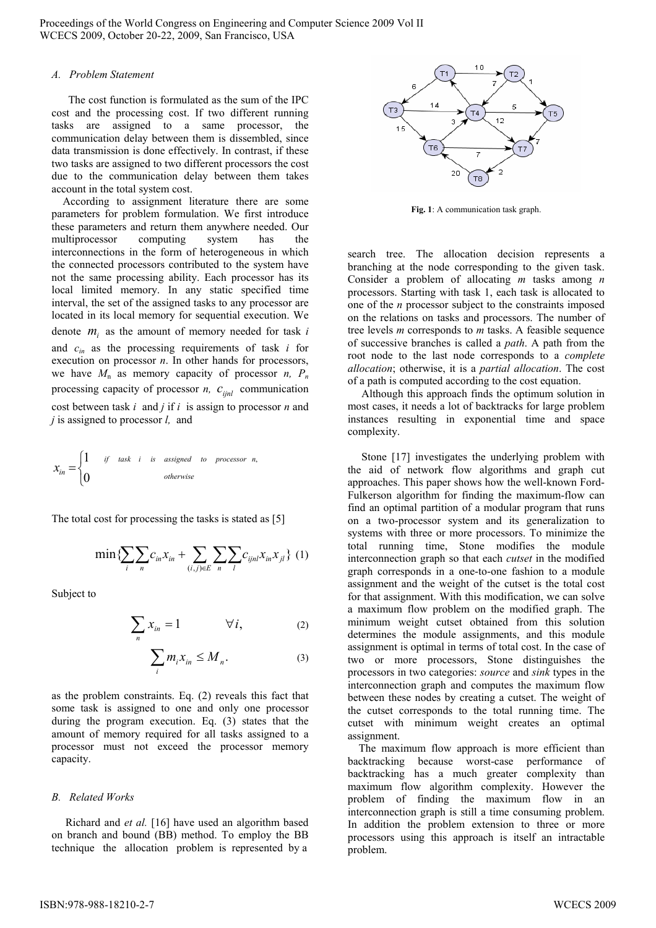Proceedings of the World Congress on Engineering and Computer Science 2009 Vol II WCECS 2009, October 20-22, 2009, San Francisco, USA

#### A. Problem Statement

The cost function is formulated as the sum of the IPC cost and the processing cost. If two different running tasks are assigned to a same processor, the communication delay between them is dissembled, since data transmission is done effectively. In contrast, if these two tasks are assigned to two different processors the cost due to the communication delay between them takes account in the total system cost.

According to assignment literature there are some parameters for problem formulation. We first introduce these parameters and return them anywhere needed. Our multiprocessor computing system has the interconnections in the form of heterogeneous in which the connected processors contributed to the system have not the same processing ability. Each processor has its local limited memory. In any static specified time interval, the set of the assigned tasks to any processor are located in its local memory for sequential execution. We denote  $m_i$  as the amount of memory needed for task i and  $c_{in}$  as the processing requirements of task i for execution on processor  $n$ . In other hands for processors, we have  $M_n$  as memory capacity of processor *n*,  $P_n$ processing capacity of processor *n*,  $c_{\text{ijnl}}$  communication cost between task  $i$  and  $j$  if  $i$  is assign to processor  $n$  and  $i$  is assigned to processor  $l$ , and

$$
x_{in} = \begin{cases} 1 & if \text{ task } i \text{ is assigned to processor } n, \\ 0 & otherwise \end{cases}
$$

The total cost for processing the tasks is stated as [5]

$$
\min \{ \sum_{i} \sum_{n} c_{in} x_{in} + \sum_{(i,j) \in E} \sum_{n} \sum_{l} c_{ijnl} x_{in} x_{jl} \} (1)
$$

Subject to

$$
\sum_{n} x_{in} = 1 \qquad \forall i,
$$
 (2)

$$
\sum_{i} m_{i} x_{in} \le M_{n}.
$$
 (3)

as the problem constraints. Eq. (2) reveals this fact that some task is assigned to one and only one processor during the program execution. Eq.  $(3)$  states that the amount of memory required for all tasks assigned to a processor must not exceed the processor memory capacity.

### **B.** Related Works

Richard and et al. [16] have used an algorithm based on branch and bound (BB) method. To employ the BB technique the allocation problem is represented by a



Fig. 1: A communication task graph.

search tree. The allocation decision represents a branching at the node corresponding to the given task. Consider a problem of allocating  $m$  tasks among  $n$ processors. Starting with task 1, each task is allocated to one of the *n* processor subject to the constraints imposed on the relations on tasks and processors. The number of tree levels  $m$  corresponds to  $m$  tasks. A feasible sequence of successive branches is called a *path*. A path from the root node to the last node corresponds to a *complete* allocation; otherwise, it is a partial allocation. The cost of a path is computed according to the cost equation.

Although this approach finds the optimum solution in most cases, it needs a lot of backtracks for large problem instances resulting in exponential time and space complexity.

Stone [17] investigates the underlying problem with the aid of network flow algorithms and graph cut approaches. This paper shows how the well-known Ford-Fulkerson algorithm for finding the maximum-flow can find an optimal partition of a modular program that runs on a two-processor system and its generalization to systems with three or more processors. To minimize the total running time, Stone modifies the module interconnection graph so that each *cutset* in the modified graph corresponds in a one-to-one fashion to a module assignment and the weight of the cutset is the total cost for that assignment. With this modification, we can solve a maximum flow problem on the modified graph. The minimum weight cutset obtained from this solution determines the module assignments, and this module assignment is optimal in terms of total cost. In the case of two or more processors, Stone distinguishes the processors in two categories: source and sink types in the interconnection graph and computes the maximum flow between these nodes by creating a cutset. The weight of the cutset corresponds to the total running time. The cutset with minimum weight creates an optimal assignment.

The maximum flow approach is more efficient than backtracking because worst-case performance of<br>backtracking has a much greater complexity than maximum flow algorithm complexity. However the problem of finding the maximum flow in an interconnection graph is still a time consuming problem. In addition the problem extension to three or more processors using this approach is itself an intractable problem.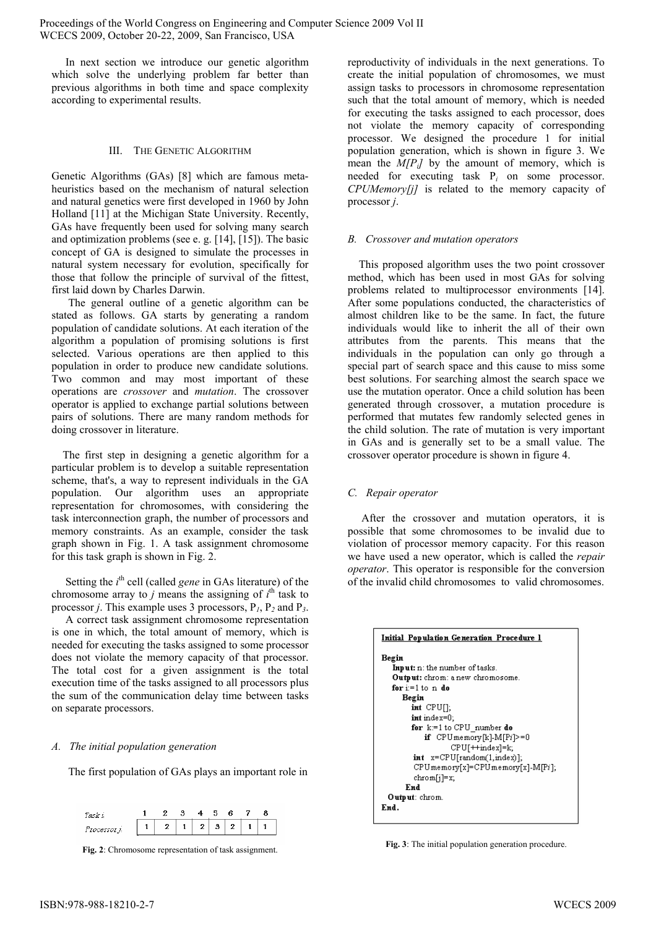In next section we introduce our genetic algorithm which solve the underlying problem far better than previous algorithms in both time and space complexity according to experimental results.

#### **III.** THE GENETIC ALGORITHM

Genetic Algorithms (GAs) [8] which are famous metaheuristics based on the mechanism of natural selection and natural genetics were first developed in 1960 by John Holland [11] at the Michigan State University. Recently, GAs have frequently been used for solving many search and optimization problems (see e. g.  $[14]$ ,  $[15]$ ). The basic concept of GA is designed to simulate the processes in natural system necessary for evolution, specifically for those that follow the principle of survival of the fittest, first laid down by Charles Darwin.

The general outline of a genetic algorithm can be stated as follows. GA starts by generating a random population of candidate solutions. At each iteration of the algorithm a population of promising solutions is first selected. Various operations are then applied to this population in order to produce new candidate solutions. Two common and may most important of these operations are *crossover* and *mutation*. The crossover operator is applied to exchange partial solutions between pairs of solutions. There are many random methods for doing crossover in literature.

The first step in designing a genetic algorithm for a particular problem is to develop a suitable representation scheme, that's, a way to represent individuals in the GA population. Our algorithm uses an appropriate representation for chromosomes, with considering the task interconnection graph, the number of processors and memory constraints. As an example, consider the task graph shown in Fig. 1. A task assignment chromosome for this task graph is shown in Fig. 2.

Setting the  $i<sup>th</sup>$  cell (called *gene* in GAs literature) of the chromosome array to j means the assigning of  $i<sup>th</sup>$  task to processor *j*. This example uses 3 processors,  $P_1$ ,  $P_2$  and  $P_3$ .

A correct task assignment chromosome representation is one in which, the total amount of memory, which is needed for executing the tasks assigned to some processor does not violate the memory capacity of that processor. The total cost for a given assignment is the total execution time of the tasks assigned to all processors plus the sum of the communication delay time between tasks on separate processors.

### A. The initial population generation

The first population of GAs plays an important role in



Fig. 2: Chromosome representation of task assignment.

reproductivity of individuals in the next generations. To create the initial population of chromosomes, we must assign tasks to processors in chromosome representation such that the total amount of memory, which is needed for executing the tasks assigned to each processor, does not violate the memory capacity of corresponding processor. We designed the procedure 1 for initial population generation, which is shown in figure 3. We mean the  $M/P_i$  by the amount of memory, which is needed for executing task  $P_i$  on some processor. CPUMemory[j] is related to the memory capacity of processor  $i$ .

### **B.** Crossover and mutation operators

This proposed algorithm uses the two point crossover method, which has been used in most GAs for solving problems related to multiprocessor environments [14]. After some populations conducted, the characteristics of almost children like to be the same. In fact, the future individuals would like to inherit the all of their own attributes from the parents. This means that the individuals in the population can only go through a special part of search space and this cause to miss some best solutions. For searching almost the search space we use the mutation operator. Once a child solution has been generated through crossover, a mutation procedure is performed that mutates few randomly selected genes in the child solution. The rate of mutation is very important in GAs and is generally set to be a small value. The crossover operator procedure is shown in figure 4.

### C. Repair operator

After the crossover and mutation operators, it is possible that some chromosomes to be invalid due to violation of processor memory capacity. For this reason we have used a new operator, which is called the *repair operator*. This operator is responsible for the conversion of the invalid child chromosomes to valid chromosomes.



Fig. 3: The initial population generation procedure.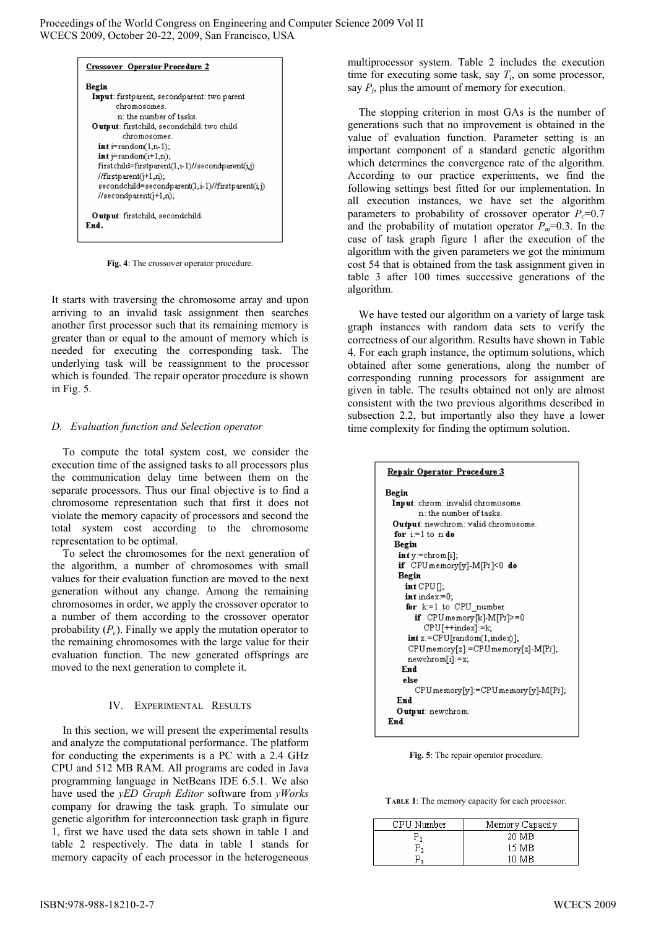Proceedings of the World Congress on Engineering and Computer Science 2009 Vol II WCECS 2009, October 20-22, 2009, San Francisco, USA



Fig. 4: The crossover operator procedure.

It starts with traversing the chromosome array and upon arriving to an invalid task assignment then searches another first processor such that its remaining memory is greater than or equal to the amount of memory which is needed for executing the corresponding task. The underlying task will be reassignment to the processor which is founded. The repair operator procedure is shown in Fig.  $5$ .

### D. Evaluation function and Selection operator

To compute the total system cost, we consider the execution time of the assigned tasks to all processors plus the communication delay time between them on the separate processors. Thus our final objective is to find a chromosome representation such that first it does not violate the memory capacity of processors and second the total system cost according to the chromosome representation to be optimal.

To select the chromosomes for the next generation of the algorithm, a number of chromosomes with small values for their evaluation function are moved to the next generation without any change. Among the remaining chromosomes in order, we apply the crossover operator to a number of them according to the crossover operator probability  $(P_c)$ . Finally we apply the mutation operator to the remaining chromosomes with the large value for their evaluation function. The new generated offsprings are moved to the next generation to complete it.

## IV. EXPERIMENTAL RESULTS

In this section, we will present the experimental results and analyze the computational performance. The platform for conducting the experiments is a PC with a 2.4 GHz CPU and 512 MB RAM. All programs are coded in Java programming language in NetBeans IDE 6.5.1. We also have used the yED Graph Editor software from yWorks company for drawing the task graph. To simulate our genetic algorithm for interconnection task graph in figure 1, first we have used the data sets shown in table 1 and table 2 respectively. The data in table 1 stands for memory capacity of each processor in the heterogeneous

multiprocessor system. Table 2 includes the execution time for executing some task, say  $T_i$ , on some processor, say  $P_i$ , plus the amount of memory for execution.

The stopping criterion in most GAs is the number of generations such that no improvement is obtained in the value of evaluation function. Parameter setting is an important component of a standard genetic algorithm which determines the convergence rate of the algorithm. According to our practice experiments, we find the following settings best fitted for our implementation. In all execution instances, we have set the algorithm parameters to probability of crossover operator  $P_c=0.7$ and the probability of mutation operator  $P_m=0.3$ . In the case of task graph figure 1 after the execution of the algorithm with the given parameters we got the minimum cost 54 that is obtained from the task assignment given in table 3 after 100 times successive generations of the algorithm.

We have tested our algorithm on a variety of large task graph instances with random data sets to verify the correctness of our algorithm. Results have shown in Table 4. For each graph instance, the optimum solutions, which obtained after some generations, along the number of corresponding running processors for assignment are given in table. The results obtained not only are almost consistent with the two previous algorithms described in subsection 2.2, but importantly also they have a lower time complexity for finding the optimum solution.

| <u> Repair Operator Procedure 3</u>        |  |  |  |  |
|--------------------------------------------|--|--|--|--|
| Begin                                      |  |  |  |  |
| Input: chrom: invalid chromosome.          |  |  |  |  |
| n: the mimher of tasks .                   |  |  |  |  |
| <b>Output:</b> newchrom: valid chromosome. |  |  |  |  |
| for $i=1$ to n do                          |  |  |  |  |
| Begin                                      |  |  |  |  |
| $int y = chrom[i];$                        |  |  |  |  |
| <b>if</b> CPU memory[y]-M[Pi]<0 <b>do</b>  |  |  |  |  |
| Begin                                      |  |  |  |  |
| $int$ CPU $\prod$ ;                        |  |  |  |  |
| $int index = 0;$                           |  |  |  |  |
| for $k=1$ to CPU number                    |  |  |  |  |
| <b>if</b> $CPU$ memory $[k]$ -M $[Pi]$ >=0 |  |  |  |  |
| $CPU[+]index]:=k;$                         |  |  |  |  |
| $int z:=CPU[random(1,index)],$             |  |  |  |  |
| CPU memory[z]:=CPU memory[z]-M[Pi];        |  |  |  |  |
| newchrom[i]:=z;                            |  |  |  |  |
| End                                        |  |  |  |  |
| else                                       |  |  |  |  |
| CPUmemory[y]:=CPUmemory[y]-M[Pi];          |  |  |  |  |
| Fнd                                        |  |  |  |  |
| Output: newchrom.                          |  |  |  |  |
| End.                                       |  |  |  |  |
|                                            |  |  |  |  |

Fig. 5: The repair operator procedure.

TABLE 1: The memory capacity for each processor.

| CPU Number | Memory Capacity |
|------------|-----------------|
|            | 20 MB           |
| $P_{2}$    | 15 MB           |
|            | 10 MB           |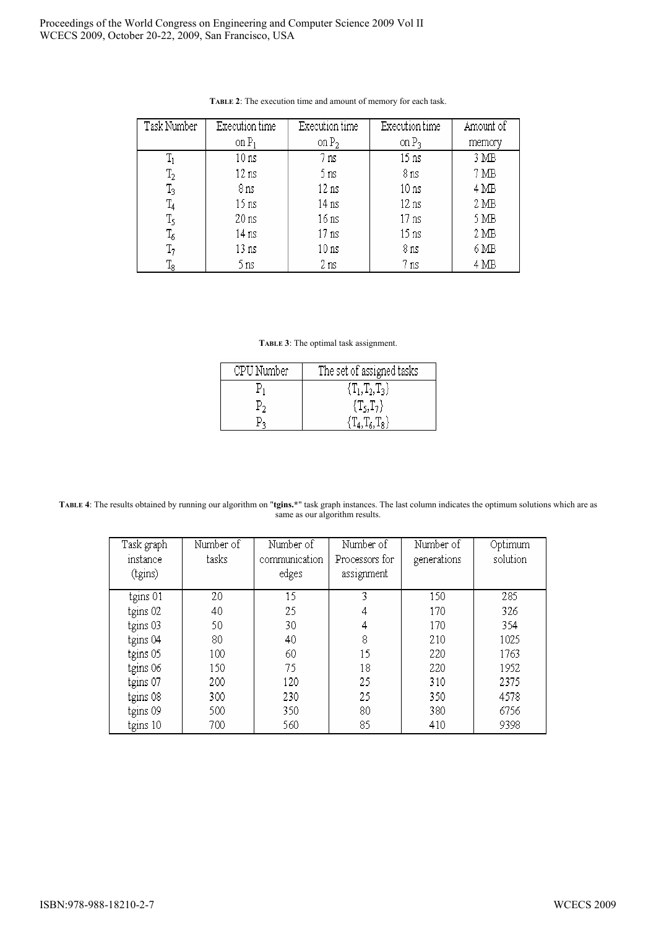| Task Number    | Execution time   | Execution time   | Execution time   | Amount of        |
|----------------|------------------|------------------|------------------|------------------|
|                | on $P_1$         | on $P_2$         | on $P_3$         | memory           |
| $T_1$          | 10 ns            | 7 ns             | $15 \text{ ns}$  | 3 MB             |
| $\mathrm{T}_2$ | $12 \text{ ns}$  | 5 ns             | 8 ns             | 7 <sub>MB</sub>  |
| $\mathrm{T}_3$ | 8 ns             | 12 ns            | 10 <sub>ns</sub> | $4\,\mathrm{MB}$ |
| $T_4$          | 15 <sub>ns</sub> | 14 ns            | $12 \text{ ns}$  | 2 <sub>MB</sub>  |
| T5             | 20 <sub>ns</sub> | 16 ns            | 17 <sub>ns</sub> | 5 MB             |
| $\mathrm{T}_6$ | 14 ns            | 17 ns            | 15 <sub>ns</sub> | 2 <sub>MB</sub>  |
| $T_7$          | 13 ns            | 10 <sub>ns</sub> | 8 ns             | 6 MB             |
| $\rm T_8$      | 5 ns             | 2 ns             | 7 ns             | $4\,\mathrm{MB}$ |

TABLE 2: The execution time and amount of memory for each task.

TABLE 3: The optimal task assignment.

| CPU Number | The set of assigned tasks |
|------------|---------------------------|
|            | ${T_1, T_2, T_3}$         |
|            | $\{T_5,T_7\}$             |
|            |                           |

TABLE 4: The results obtained by running our algorithm on "tgins.\*" task graph instances. The last column indicates the optimum solutions which are as same as our algorithm results.

| Task graph<br>instance<br>(tgins) | Number of<br>tasks | Number of<br>communication<br>edges | Number of<br>Processors for<br>assignment | Number of<br>generations | Optimum<br>solution |
|-----------------------------------|--------------------|-------------------------------------|-------------------------------------------|--------------------------|---------------------|
| tgins 01                          | 20                 | 15                                  | 3                                         | 150                      | 285                 |
| tgins 02                          | 40                 | 25                                  | 4                                         | 170                      | 326                 |
| tgins 03                          | 50                 | 30                                  | 4                                         | 170                      | 354                 |
| tgins 04                          | 80                 | 40                                  | 8                                         | 210                      | 1025                |
| tgins 05                          | 100                | 60                                  | 15                                        | 220                      | 1763                |
| tgins 06                          | 150                | 75                                  | 18                                        | 220                      | 1952                |
| tgins 07                          | 200                | 120                                 | 25                                        | 310                      | 2375                |
| tgins 08                          | 300                | 230                                 | 25                                        | 350                      | 4578                |
| tgins 09                          | 500                | 350                                 | 80                                        | 380                      | 6756                |
| tgins 10                          | 700                | 560                                 | 85                                        | 410                      | 9398                |